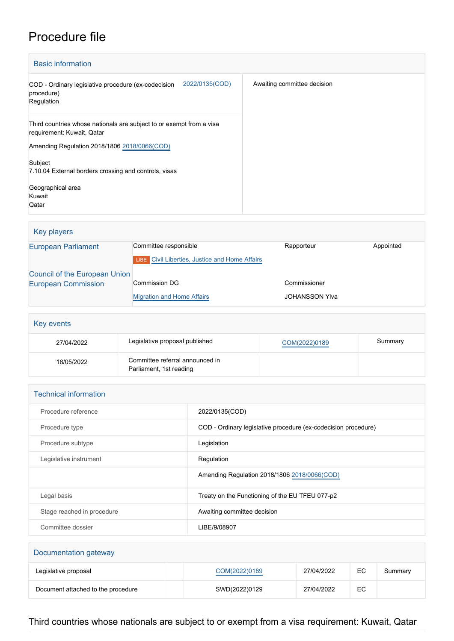## Procedure file

| <b>Basic information</b>                                                                           |                             |  |  |  |
|----------------------------------------------------------------------------------------------------|-----------------------------|--|--|--|
| 2022/0135(COD)<br>COD - Ordinary legislative procedure (ex-codecision<br>procedure)<br>Regulation  | Awaiting committee decision |  |  |  |
| Third countries whose nationals are subject to or exempt from a visa<br>requirement: Kuwait, Qatar |                             |  |  |  |
| Amending Regulation 2018/1806 2018/0066(COD)                                                       |                             |  |  |  |
| Subject                                                                                            |                             |  |  |  |
| 7.10.04 External borders crossing and controls, visas                                              |                             |  |  |  |
| Geographical area                                                                                  |                             |  |  |  |
| Kuwait                                                                                             |                             |  |  |  |
| Qatar                                                                                              |                             |  |  |  |

## Key players [European Parliament](http://www.europarl.europa.eu/) Committee responsible Rapporteur Rapporteur Appointed **LIBE** [Civil Liberties, Justice and Home Affairs](http://www.europarl.europa.eu/committees/en/libe/home.html) [Council of the European Union](http://www.consilium.europa.eu) [European Commission](http://ec.europa.eu/) Commission DG [Migration and Home Affairs](http://ec.europa.eu/info/departments/migration-and-home-affairs_en) Commissioner JOHANSSON Ylva

## Key events 27/04/2022 Legislative proposal published [COM\(2022\)0189](http://www.europarl.europa.eu/RegData/docs_autres_institutions/commission_europeenne/com/2022/0189/COM_COM(2022)0189_EN.pdf) Summary 18/05/2022 Committee referral announced in Parliament, 1st reading

| <b>Technical information</b> |                                                                |
|------------------------------|----------------------------------------------------------------|
| Procedure reference          | 2022/0135(COD)                                                 |
| Procedure type               | COD - Ordinary legislative procedure (ex-codecision procedure) |
| Procedure subtype            | Legislation                                                    |
| Legislative instrument       | Regulation                                                     |
|                              | Amending Regulation 2018/1806 2018/0066(COD)                   |
| Legal basis                  | Treaty on the Functioning of the EU TFEU 077-p2                |
| Stage reached in procedure   | Awaiting committee decision                                    |
| Committee dossier            | LIBE/9/08907                                                   |
|                              |                                                                |

| Documentation gateway              |               |            |    |         |
|------------------------------------|---------------|------------|----|---------|
| Legislative proposal               | COM(2022)0189 | 27/04/2022 | EC | Summary |
| Document attached to the procedure | SWD(2022)0129 | 27/04/2022 | EC |         |

Third countries whose nationals are subject to or exempt from a visa requirement: Kuwait, Qatar